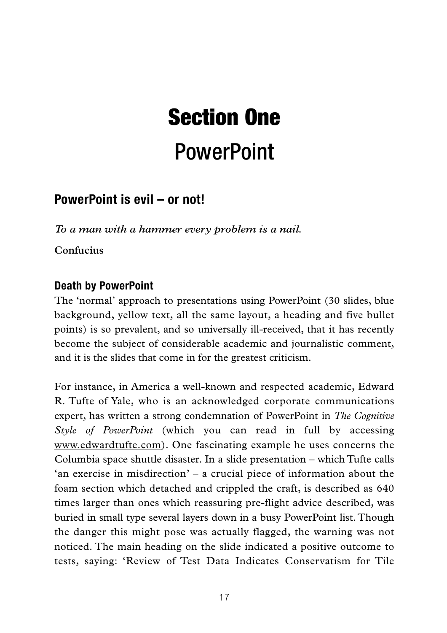# **Section One** PowerPoint

## **PowerPoint is evil – or not!**

*To a man with a hammer every problem is a nail.*

**Confucius**

## **Death by PowerPoint**

The 'normal' approach to presentations using PowerPoint (30 slides, blue background, yellow text, all the same layout, a heading and five bullet points) is so prevalent, and so universally ill-received, that it has recently become the subject of considerable academic and journalistic comment, and it is the slides that come in for the greatest criticism.

For instance, in America a well-known and respected academic, Edward R. Tufte of Yale, who is an acknowledged corporate communications expert, has written a strong condemnation of PowerPoint in *The Cognitive Style of PowerPoint* (which you can read in full by accessing www.edwardtufte.com). One fascinating example he uses concerns the Columbia space shuttle disaster. In a slide presentation – which Tufte calls 'an exercise in misdirection' – a crucial piece of information about the foam section which detached and crippled the craft, is described as 640 times larger than ones which reassuring pre-flight advice described, was buried in small type several layers down in a busy PowerPoint list. Though the danger this might pose was actually flagged, the warning was not noticed. The main heading on the slide indicated a positive outcome to tests, saying: 'Review of Test Data Indicates Conservatism for Tile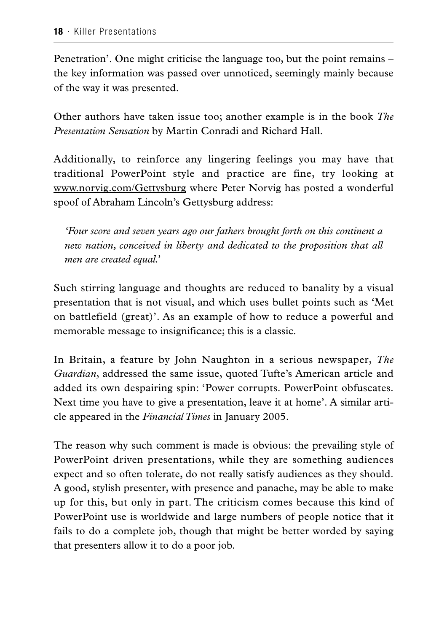Penetration'. One might criticise the language too, but the point remains – the key information was passed over unnoticed, seemingly mainly because of the way it was presented.

Other authors have taken issue too; another example is in the book *The Presentation Sensation* by Martin Conradi and Richard Hall.

Additionally, to reinforce any lingering feelings you may have that traditional PowerPoint style and practice are fine, try looking at www.norvig.com/Gettysburg where Peter Norvig has posted a wonderful spoof of Abraham Lincoln's Gettysburg address:

*'Four score and seven years ago our fathers brought forth on this continent a new nation, conceived in liberty and dedicated to the proposition that all men are created equal.'*

Such stirring language and thoughts are reduced to banality by a visual presentation that is not visual, and which uses bullet points such as 'Met on battlefield (great)'. As an example of how to reduce a powerful and memorable message to insignificance; this is a classic.

In Britain, a feature by John Naughton in a serious newspaper, *The Guardian*, addressed the same issue, quoted Tufte's American article and added its own despairing spin: 'Power corrupts. PowerPoint obfuscates. Next time you have to give a presentation, leave it at home'. A similar article appeared in the *Financial Times* in January 2005.

The reason why such comment is made is obvious: the prevailing style of PowerPoint driven presentations, while they are something audiences expect and so often tolerate, do not really satisfy audiences as they should. A good, stylish presenter, with presence and panache, may be able to make up for this, but only in part. The criticism comes because this kind of PowerPoint use is worldwide and large numbers of people notice that it fails to do a complete job, though that might be better worded by saying that presenters allow it to do a poor job.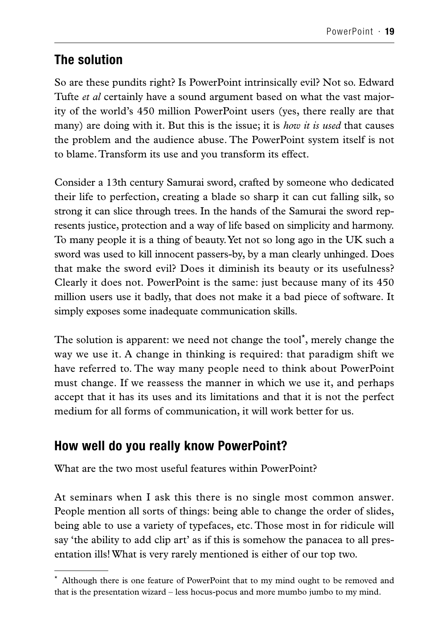# **The solution**

So are these pundits right? Is PowerPoint intrinsically evil? Not so. Edward Tufte *et al* certainly have a sound argument based on what the vast majority of the world's 450 million PowerPoint users (yes, there really are that many) are doing with it. But this is the issue; it is *how it is used* that causes the problem and the audience abuse. The PowerPoint system itself is not to blame.Transform its use and you transform its effect.

Consider a 13th century Samurai sword, crafted by someone who dedicated their life to perfection, creating a blade so sharp it can cut falling silk, so strong it can slice through trees. In the hands of the Samurai the sword represents justice, protection and a way of life based on simplicity and harmony. To many people it is a thing of beauty.Yet not so long ago in the UK such a sword was used to kill innocent passers-by, by a man clearly unhinged. Does that make the sword evil? Does it diminish its beauty or its usefulness? Clearly it does not. PowerPoint is the same: just because many of its 450 million users use it badly, that does not make it a bad piece of software. It simply exposes some inadequate communication skills.

The solution is apparent: we need not change the tool\*, merely change the way we use it. A change in thinking is required: that paradigm shift we have referred to. The way many people need to think about PowerPoint must change. If we reassess the manner in which we use it, and perhaps accept that it has its uses and its limitations and that it is not the perfect medium for all forms of communication, it will work better for us.

# **How well do you really know PowerPoint?**

What are the two most useful features within PowerPoint?

At seminars when I ask this there is no single most common answer. People mention all sorts of things: being able to change the order of slides, being able to use a variety of typefaces, etc. Those most in for ridicule will say 'the ability to add clip art' as if this is somehow the panacea to all presentation ills! What is very rarely mentioned is either of our top two.

<sup>\*</sup> Although there is one feature of PowerPoint that to my mind ought to be removed and that is the presentation wizard – less hocus-pocus and more mumbo jumbo to my mind.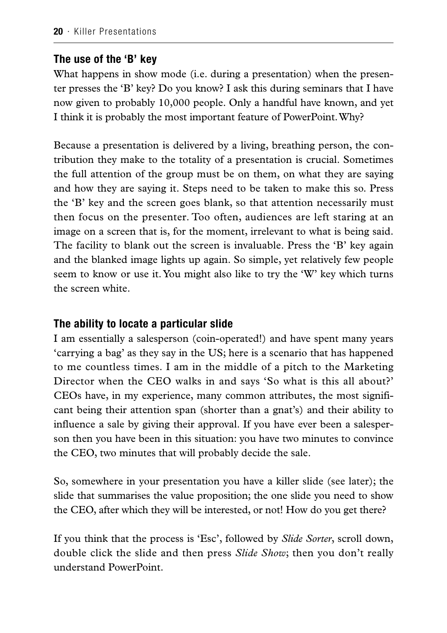## **The use of the 'B' key**

What happens in show mode (i.e. during a presentation) when the presenter presses the 'B' key? Do you know? I ask this during seminars that I have now given to probably 10,000 people. Only a handful have known, and yet I think it is probably the most important feature of PowerPoint.Why?

Because a presentation is delivered by a living, breathing person, the contribution they make to the totality of a presentation is crucial. Sometimes the full attention of the group must be on them, on what they are saying and how they are saying it. Steps need to be taken to make this so. Press the 'B' key and the screen goes blank, so that attention necessarily must then focus on the presenter. Too often, audiences are left staring at an image on a screen that is, for the moment, irrelevant to what is being said. The facility to blank out the screen is invaluable. Press the 'B' key again and the blanked image lights up again. So simple, yet relatively few people seem to know or use it.You might also like to try the 'W' key which turns the screen white.

## **The ability to locate a particular slide**

I am essentially a salesperson (coin-operated!) and have spent many years 'carrying a bag' as they say in the US; here is a scenario that has happened to me countless times. I am in the middle of a pitch to the Marketing Director when the CEO walks in and says 'So what is this all about?' CEOs have, in my experience, many common attributes, the most significant being their attention span (shorter than a gnat's) and their ability to influence a sale by giving their approval. If you have ever been a salesperson then you have been in this situation: you have two minutes to convince the CEO, two minutes that will probably decide the sale.

So, somewhere in your presentation you have a killer slide (see later); the slide that summarises the value proposition; the one slide you need to show the CEO, after which they will be interested, or not! How do you get there?

If you think that the process is 'Esc', followed by *Slide Sorter*, scroll down, double click the slide and then press *Slide Show*; then you don't really understand PowerPoint.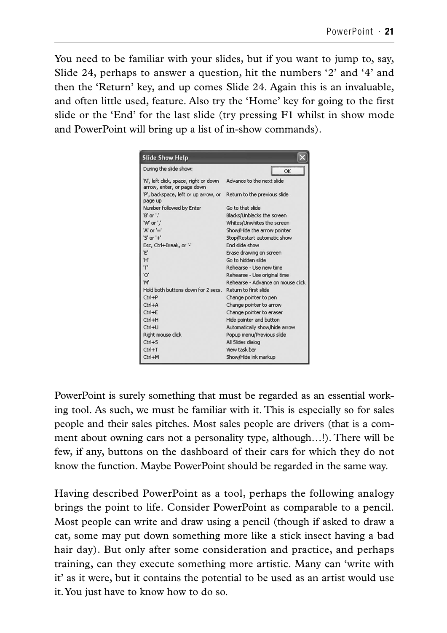You need to be familiar with your slides, but if you want to jump to, say, Slide 24, perhaps to answer a question, hit the numbers '2' and '4' and then the 'Return' key, and up comes Slide 24. Again this is an invaluable, and often little used, feature. Also try the 'Home' key for going to the first slide or the 'End' for the last slide (try pressing F1 whilst in show mode and PowerPoint will bring up a list of in-show commands).

| <b>Slide Show Help</b>                                              |                                   |
|---------------------------------------------------------------------|-----------------------------------|
| During the slide show:                                              | OK                                |
| 'N', left click, space, right or down<br>arrow, enter, or page down | Advance to the next slide         |
| 'P', backspace, left or up arrow, or<br>page up                     | Return to the previous slide      |
| Number followed by Enter                                            | Go to that slide                  |
| "B" or "."                                                          | Blacks/Unblacks the screen        |
| 'W' or '.'                                                          | Whites/Unwhites the screen        |
| 'A' or '='                                                          | Show/Hide the arrow pointer       |
| $S'$ or $'+'$                                                       | Stop/Restart automatic show       |
| Esc, Ctrl+Break, or '-'                                             | End slide show                    |
| Έ'                                                                  | Erase drawing on screen           |
| Ή                                                                   | Go to hidden slide                |
| <b>'T'</b>                                                          | Rehearse - Use new time           |
| 'O'                                                                 | Rehearse - Use original time      |
| 'Mʻ                                                                 | Rehearse - Advance on mouse click |
| Hold both buttons down for 2 secs.                                  | Return to first slide             |
| Ctrl+P                                                              | Change pointer to pen             |
| Ctrl+A                                                              | Change pointer to arrow           |
| $C$ <sub>r</sub> $+E$                                               | Change pointer to eraser          |
| Ctrl+H                                                              | Hide pointer and button           |
| Ctrl+U                                                              | Automatically show/hide arrow     |
| Right mouse click                                                   | Popup menu/Previous slide         |
| $Ctrl + S$                                                          | All Slides dialog                 |
| Ctrl+T                                                              | View task bar                     |
| Ctrl+M                                                              | Show/Hide ink markup              |

PowerPoint is surely something that must be regarded as an essential working tool. As such, we must be familiar with it. This is especially so for sales people and their sales pitches. Most sales people are drivers (that is a comment about owning cars not a personality type, although…!). There will be few, if any, buttons on the dashboard of their cars for which they do not know the function. Maybe PowerPoint should be regarded in the same way.

Having described PowerPoint as a tool, perhaps the following analogy brings the point to life. Consider PowerPoint as comparable to a pencil. Most people can write and draw using a pencil (though if asked to draw a cat, some may put down something more like a stick insect having a bad hair day). But only after some consideration and practice, and perhaps training, can they execute something more artistic. Many can 'write with it' as it were, but it contains the potential to be used as an artist would use it.You just have to know how to do so.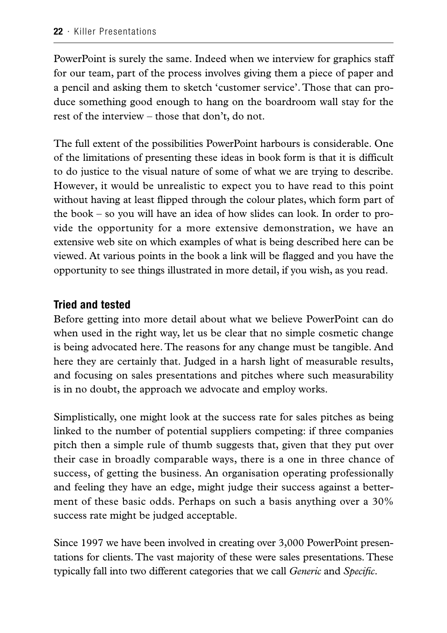PowerPoint is surely the same. Indeed when we interview for graphics staff for our team, part of the process involves giving them a piece of paper and a pencil and asking them to sketch 'customer service'. Those that can produce something good enough to hang on the boardroom wall stay for the rest of the interview – those that don't, do not.

The full extent of the possibilities PowerPoint harbours is considerable. One of the limitations of presenting these ideas in book form is that it is difficult to do justice to the visual nature of some of what we are trying to describe. However, it would be unrealistic to expect you to have read to this point without having at least flipped through the colour plates, which form part of the book – so you will have an idea of how slides can look. In order to provide the opportunity for a more extensive demonstration, we have an extensive web site on which examples of what is being described here can be viewed. At various points in the book a link will be flagged and you have the opportunity to see things illustrated in more detail, if you wish, as you read.

## **Tried and tested**

Before getting into more detail about what we believe PowerPoint can do when used in the right way, let us be clear that no simple cosmetic change is being advocated here.The reasons for any change must be tangible. And here they are certainly that. Judged in a harsh light of measurable results, and focusing on sales presentations and pitches where such measurability is in no doubt, the approach we advocate and employ works.

Simplistically, one might look at the success rate for sales pitches as being linked to the number of potential suppliers competing: if three companies pitch then a simple rule of thumb suggests that, given that they put over their case in broadly comparable ways, there is a one in three chance of success, of getting the business. An organisation operating professionally and feeling they have an edge, might judge their success against a betterment of these basic odds. Perhaps on such a basis anything over a 30% success rate might be judged acceptable.

Since 1997 we have been involved in creating over 3,000 PowerPoint presentations for clients. The vast majority of these were sales presentations. These typically fall into two different categories that we call *Generic* and *Specific*.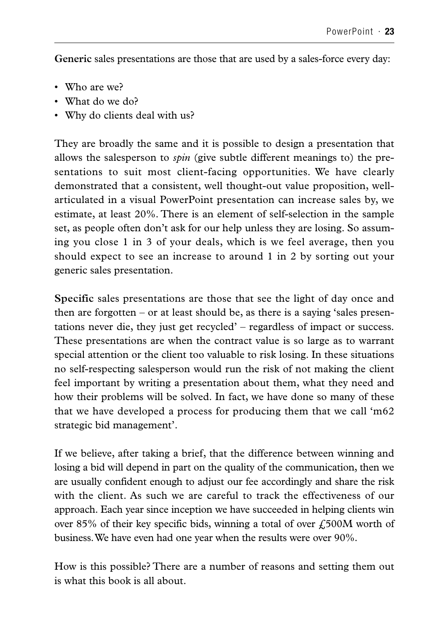**Generic** sales presentations are those that are used by a sales-force every day:

- Who are we?
- What do we do?
- Why do clients deal with us?

They are broadly the same and it is possible to design a presentation that allows the salesperson to *spin* (give subtle different meanings to) the presentations to suit most client-facing opportunities. We have clearly demonstrated that a consistent, well thought-out value proposition, wellarticulated in a visual PowerPoint presentation can increase sales by, we estimate, at least 20%. There is an element of self-selection in the sample set, as people often don't ask for our help unless they are losing. So assuming you close 1 in 3 of your deals, which is we feel average, then you should expect to see an increase to around 1 in 2 by sorting out your generic sales presentation.

**Specific** sales presentations are those that see the light of day once and then are forgotten – or at least should be, as there is a saying 'sales presentations never die, they just get recycled' – regardless of impact or success. These presentations are when the contract value is so large as to warrant special attention or the client too valuable to risk losing. In these situations no self-respecting salesperson would run the risk of not making the client feel important by writing a presentation about them, what they need and how their problems will be solved. In fact, we have done so many of these that we have developed a process for producing them that we call 'm62 strategic bid management'.

If we believe, after taking a brief, that the difference between winning and losing a bid will depend in part on the quality of the communication, then we are usually confident enough to adjust our fee accordingly and share the risk with the client. As such we are careful to track the effectiveness of our approach. Each year since inception we have succeeded in helping clients win over 85% of their key specific bids, winning a total of over  $\text{\emph{f}}\,500\text{\emph{M}}$  worth of business.We have even had one year when the results were over 90%.

How is this possible? There are a number of reasons and setting them out is what this book is all about.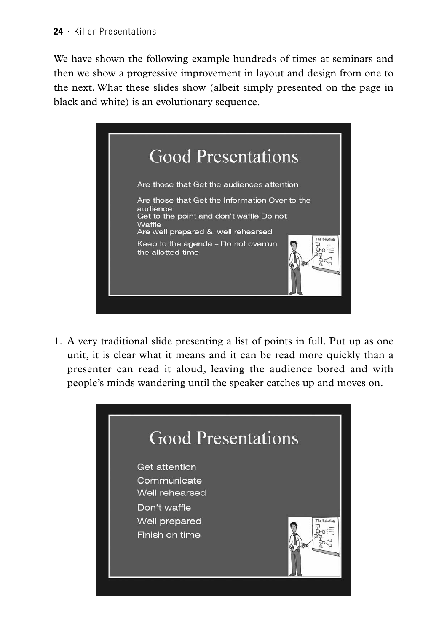We have shown the following example hundreds of times at seminars and then we show a progressive improvement in layout and design from one to the next. What these slides show (albeit simply presented on the page in black and white) is an evolutionary sequence.



1. A very traditional slide presenting a list of points in full. Put up as one unit, it is clear what it means and it can be read more quickly than a presenter can read it aloud, leaving the audience bored and with people's minds wandering until the speaker catches up and moves on.

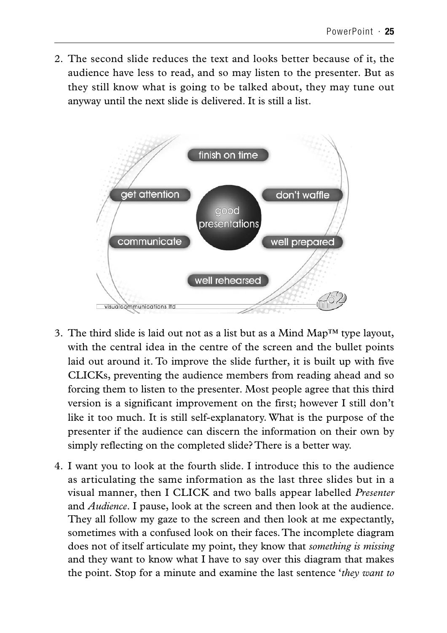2. The second slide reduces the text and looks better because of it, the audience have less to read, and so may listen to the presenter. But as they still know what is going to be talked about, they may tune out anyway until the next slide is delivered. It is still a list.



- 3. The third slide is laid out not as a list but as a Mind Map<sup>TM</sup> type layout, with the central idea in the centre of the screen and the bullet points laid out around it. To improve the slide further, it is built up with five CLICKs, preventing the audience members from reading ahead and so forcing them to listen to the presenter. Most people agree that this third version is a significant improvement on the first; however I still don't like it too much. It is still self-explanatory. What is the purpose of the presenter if the audience can discern the information on their own by simply reflecting on the completed slide? There is a better way.
- 4. I want you to look at the fourth slide. I introduce this to the audience as articulating the same information as the last three slides but in a visual manner, then I CLICK and two balls appear labelled *Presenter* and *Audience*. I pause, look at the screen and then look at the audience. They all follow my gaze to the screen and then look at me expectantly, sometimes with a confused look on their faces.The incomplete diagram does not of itself articulate my point, they know that *something is missing* and they want to know what I have to say over this diagram that makes the point. Stop for a minute and examine the last sentence '*they want to*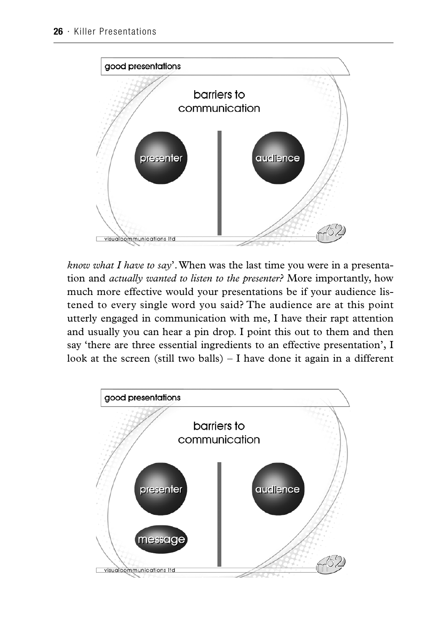

*know what I have to say*'.When was the last time you were in a presentation and *actually wanted to listen to the presenter?* More importantly, how much more effective would your presentations be if your audience listened to every single word you said? The audience are at this point utterly engaged in communication with me, I have their rapt attention and usually you can hear a pin drop. I point this out to them and then say 'there are three essential ingredients to an effective presentation', I look at the screen (still two balls)  $-$  I have done it again in a different

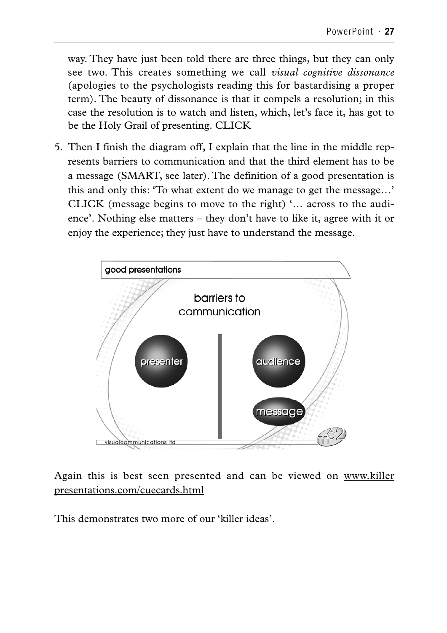way. They have just been told there are three things, but they can only see two. This creates something we call *visual cognitive dissonance* (apologies to the psychologists reading this for bastardising a proper term). The beauty of dissonance is that it compels a resolution; in this case the resolution is to watch and listen, which, let's face it, has got to be the Holy Grail of presenting. CLICK

5. Then I finish the diagram off, I explain that the line in the middle represents barriers to communication and that the third element has to be a message (SMART, see later). The definition of a good presentation is this and only this: 'To what extent do we manage to get the message…' CLICK (message begins to move to the right) '… across to the audience'. Nothing else matters – they don't have to like it, agree with it or enjoy the experience; they just have to understand the message.



Again this is best seen presented and can be viewed on www.killer presentations.com/cuecards.html

This demonstrates two more of our 'killer ideas'.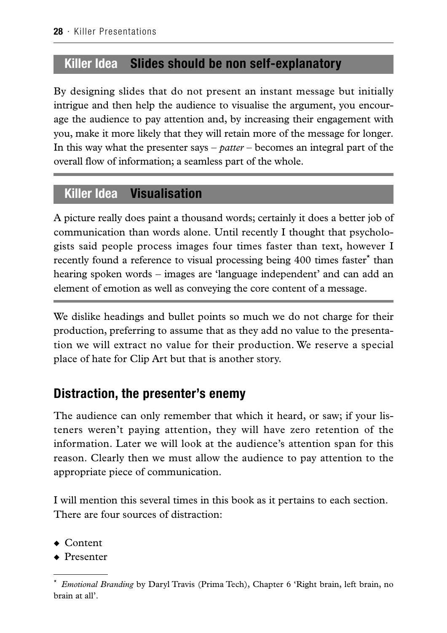## **Killer Idea Slides should be non self-explanatory**

By designing slides that do not present an instant message but initially intrigue and then help the audience to visualise the argument, you encourage the audience to pay attention and, by increasing their engagement with you, make it more likely that they will retain more of the message for longer. In this way what the presenter says – *patter* – becomes an integral part of the overall flow of information; a seamless part of the whole.

## **Killer Idea Visualisation**

A picture really does paint a thousand words; certainly it does a better job of communication than words alone. Until recently I thought that psychologists said people process images four times faster than text, however I recently found a reference to visual processing being 400 times faster\* than hearing spoken words – images are 'language independent' and can add an element of emotion as well as conveying the core content of a message.

We dislike headings and bullet points so much we do not charge for their production, preferring to assume that as they add no value to the presentation we will extract no value for their production. We reserve a special place of hate for Clip Art but that is another story.

# **Distraction, the presenter's enemy**

The audience can only remember that which it heard, or saw; if your listeners weren't paying attention, they will have zero retention of the information. Later we will look at the audience's attention span for this reason. Clearly then we must allow the audience to pay attention to the appropriate piece of communication.

I will mention this several times in this book as it pertains to each section. There are four sources of distraction:

- ◆ Content
- ◆ Presenter

<sup>\*</sup> *Emotional Branding* by Daryl Travis (Prima Tech), Chapter 6 'Right brain, left brain, no brain at all'.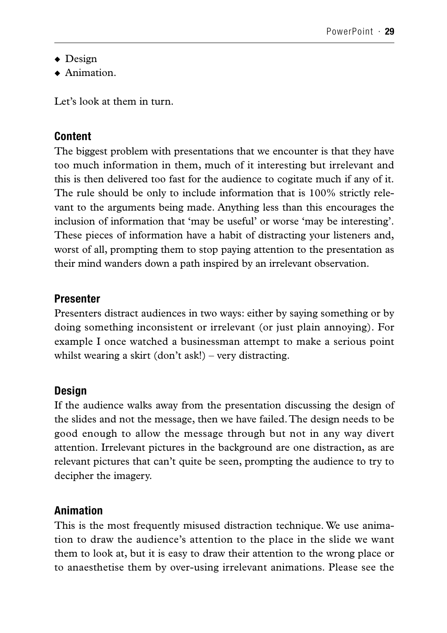- ◆ Design
- ◆ Animation.

Let's look at them in turn.

## **Content**

The biggest problem with presentations that we encounter is that they have too much information in them, much of it interesting but irrelevant and this is then delivered too fast for the audience to cogitate much if any of it. The rule should be only to include information that is 100% strictly relevant to the arguments being made. Anything less than this encourages the inclusion of information that 'may be useful' or worse 'may be interesting'. These pieces of information have a habit of distracting your listeners and, worst of all, prompting them to stop paying attention to the presentation as their mind wanders down a path inspired by an irrelevant observation.

#### **Presenter**

Presenters distract audiences in two ways: either by saying something or by doing something inconsistent or irrelevant (or just plain annoying). For example I once watched a businessman attempt to make a serious point whilst wearing a skirt (don't ask!) – very distracting.

## **Design**

If the audience walks away from the presentation discussing the design of the slides and not the message, then we have failed.The design needs to be good enough to allow the message through but not in any way divert attention. Irrelevant pictures in the background are one distraction, as are relevant pictures that can't quite be seen, prompting the audience to try to decipher the imagery.

#### **Animation**

This is the most frequently misused distraction technique. We use animation to draw the audience's attention to the place in the slide we want them to look at, but it is easy to draw their attention to the wrong place or to anaesthetise them by over-using irrelevant animations. Please see the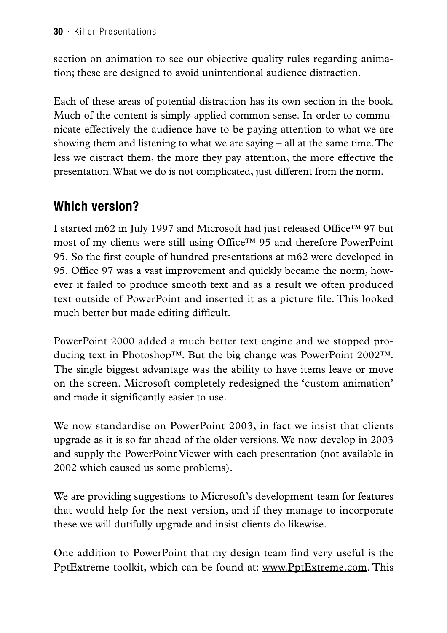section on animation to see our objective quality rules regarding animation; these are designed to avoid unintentional audience distraction.

Each of these areas of potential distraction has its own section in the book. Much of the content is simply-applied common sense. In order to communicate effectively the audience have to be paying attention to what we are showing them and listening to what we are saying – all at the same time.The less we distract them, the more they pay attention, the more effective the presentation.What we do is not complicated, just different from the norm.

## **Which version?**

I started m62 in July 1997 and Microsoft had just released Office™ 97 but most of my clients were still using Office™ 95 and therefore PowerPoint 95. So the first couple of hundred presentations at m62 were developed in 95. Office 97 was a vast improvement and quickly became the norm, however it failed to produce smooth text and as a result we often produced text outside of PowerPoint and inserted it as a picture file. This looked much better but made editing difficult.

PowerPoint 2000 added a much better text engine and we stopped producing text in Photoshop™. But the big change was PowerPoint 2002™. The single biggest advantage was the ability to have items leave or move on the screen. Microsoft completely redesigned the 'custom animation' and made it significantly easier to use.

We now standardise on PowerPoint 2003, in fact we insist that clients upgrade as it is so far ahead of the older versions.We now develop in 2003 and supply the PowerPoint Viewer with each presentation (not available in 2002 which caused us some problems).

We are providing suggestions to Microsoft's development team for features that would help for the next version, and if they manage to incorporate these we will dutifully upgrade and insist clients do likewise.

One addition to PowerPoint that my design team find very useful is the PptExtreme toolkit, which can be found at: www.PptExtreme.com. This